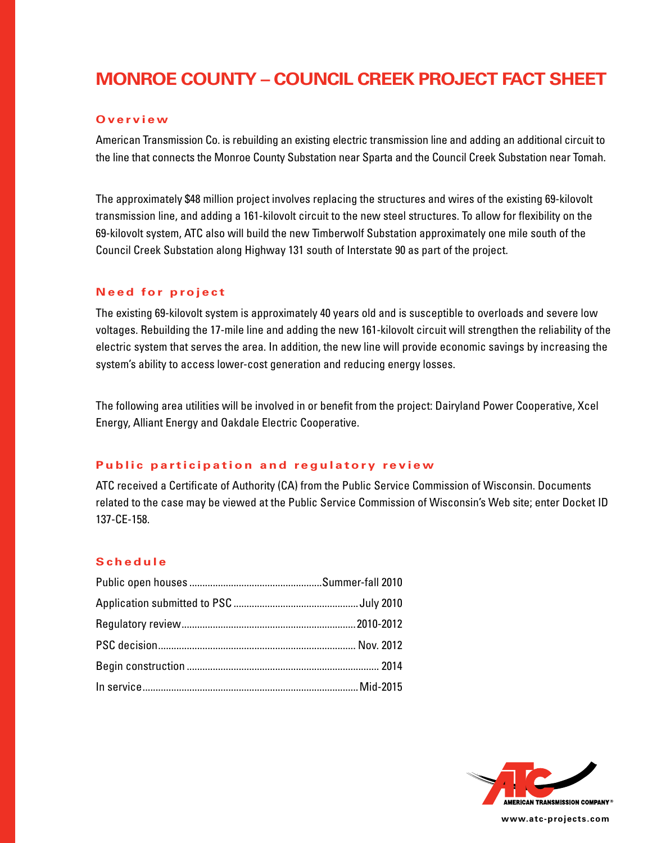# **Monroe County – Council Creek project fact sheet**

### **O v e r v i e w**

American Transmission Co. is rebuilding an existing electric transmission line and adding an additional circuit to the line that connects the Monroe County Substation near Sparta and the Council Creek Substation near Tomah.

The approximately \$48 million project involves replacing the structures and wires of the existing 69-kilovolt transmission line, and adding a 161-kilovolt circuit to the new steel structures. To allow for flexibility on the 69-kilovolt system, ATC also will build the new Timberwolf Substation approximately one mile south of the Council Creek Substation along Highway 131 south of Interstate 90 as part of the project.

## **Need for project**

The existing 69-kilovolt system is approximately 40 years old and is susceptible to overloads and severe low voltages. Rebuilding the 17-mile line and adding the new 161-kilovolt circuit will strengthen the reliability of the electric system that serves the area. In addition, the new line will provide economic savings by increasing the system's ability to access lower-cost generation and reducing energy losses.

The following area utilities will be involved in or benefit from the project: Dairyland Power Cooperative, Xcel Energy, Alliant Energy and Oakdale Electric Cooperative.

### **Public participation and regulatory review**

ATC received a Certificate of Authority (CA) from the Public Service Commission of Wisconsin. Documents related to the case may be viewed at the Public Service Commission of Wisconsin's Web site; enter Docket ID 137-CE-158.

### **Sc h e d u l e**



**www.atc-projects.com**